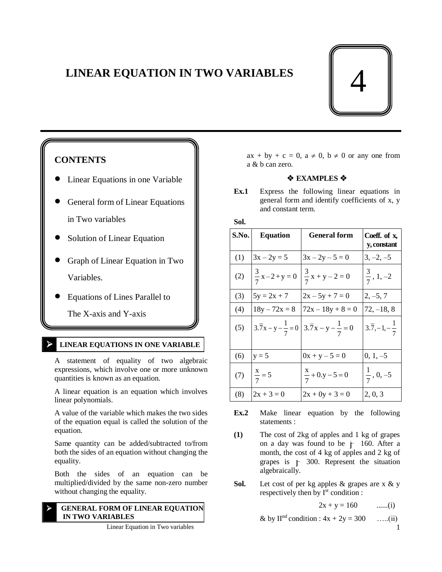# **LINEAR EQUATION IN TWO VARIABLES**



# **CONTENTS**

- Linear Equations in one Variable
- General form of Linear Equations in Two variables
- Solution of Linear Equation
- Graph of Linear Equation in Two Variables.
- Equations of Lines Parallel to

The X-axis and Y-axis

# **LINEAR EQUATIONS IN ONE VARIABLE**

 A statement of equality of two algebraic expressions, which involve one or more unknown quantities is known as an equation.

A linear equation is an equation which involves linear polynomials.

A value of the variable which makes the two sides of the equation equal is called the solution of the equation.

Same quantity can be added/subtracted to/from both the sides of an equation without changing the equality.

Both the sides of an equation can be multiplied/divided by the same non-zero number without changing the equality.

# **GENERAL FORM OF LINEAR EQUATION IN TWO VARIABLES**

 $ax + by + c = 0$ ,  $a \ne 0$ ,  $b \ne 0$  or any one from a & b can zero.

# $\triangle$  **EXAMPLES**  $\triangle$

**Ex.1** Express the following linear equations in general form and identify coefficients of x, y and constant term.

# **Sol.**

| S.No. | <b>Equation</b>      | <b>General form</b>                                                             | Coeff. of x,<br>y, constant        |
|-------|----------------------|---------------------------------------------------------------------------------|------------------------------------|
| (1)   | $3x - 2y = 5$        | $3x - 2y - 5 = 0$                                                               | $3, -2, -5$                        |
| (2)   | $\frac{3}{7}x-2+y=0$ | $\frac{3}{7}x + y - 2 = 0$                                                      | $\frac{3}{7}$ , 1, -2              |
| (3)   | $5y = 2x + 7$        | $2x - 5y + 7 = 0$                                                               | $2, -5, 7$                         |
| (4)   | $18y - 72x = 8$      | $72x - 18y + 8 = 0$                                                             | 72, –18, 8                         |
| (5)   |                      | $3.\overline{7}x - y - \frac{1}{7} = 0$ $3.\overline{7}x - y - \frac{1}{7} = 0$ | $3.\overline{7}, -1, -\frac{1}{7}$ |
| (6)   | $y = 5$              | $0x + y - 5 = 0$                                                                | $0, 1, -5$                         |
| (7)   | $\frac{x}{7} = 5$    | $\frac{x}{7} + 0. y - 5 = 0$                                                    | $\frac{1}{7}$ , 0, -5              |
| (8)   | $2x + 3 = 0$         | $2x + 0y + 3 = 0$                                                               | 2, 0, 3                            |

- **Ex.2** Make linear equation by the following statements :
- **(1)** The cost of 2kg of apples and 1 kg of grapes on a day was found to be j 160. After a month, the cost of 4 kg of apples and 2 kg of grapes is j 300. Represent the situation algebraically.
- **Sol.** Let cost of per kg apples & grapes are x & y respectively then by  $I<sup>st</sup>$  condition :

$$
2x + y = 160
$$
 ......(i)

& by II<sup>nd</sup> condition : 
$$
4x + 2y = 300
$$
 ....(ii)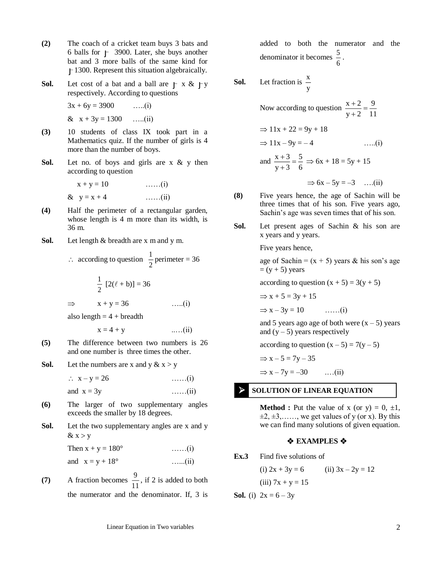- **(2)** The coach of a cricket team buys 3 bats and 6 balls for j 3900. Later, she buys another bat and 3 more balls of the same kind for j 1300. Represent this situation algebraically.
- **Sol.** Let cost of a bat and a ball are  $\overline{y} \times \overline{x}$   $\overline{y}$ respectively. According to questions

 $3x + 6y = 3900$  …..(i)  $& x + 3y = 1300$  …..(ii)

- **(3)** 10 students of class IX took part in a Mathematics quiz. If the number of girls is 4 more than the number of boys.
- Sol. Let no. of boys and girls are x & y then according to question

 $x + y = 10$  ……(i) &  $y = x + 4$  ……(ii)

- **(4)** Half the perimeter of a rectangular garden, whose length is 4 m more than its width, is 36 m.
- **Sol.** Let length & breadth are x m and y m.

$$
\therefore \text{ according to question } \frac{1}{2} \text{ perimeter} = 36
$$

$$
\frac{1}{2} [2(\ell + b)] = 36
$$

$$
\Rightarrow \text{ } x + y = 36 \qquad \qquad \dots (i)
$$

also length  $= 4 + b$ readth

$$
x = 4 + y \qquad \qquad \ldots (ii)
$$

- **(5)** The difference between two numbers is 26 and one number is three times the other.
- **Sol.** Let the numbers are x and y  $\& x > y$

 $\therefore$   $x - y = 26$  ……(i) and  $x = 3y$  ……(ii)

- **(6)** The larger of two supplementary angles exceeds the smaller by 18 degrees.
- **Sol.** Let the two supplementary angles are x and y  $& x > y$

Then  $x + y = 180^{\circ}$  ……(i)

and 
$$
x = y + 18^{\circ}
$$
 ......(ii)

(7) A fraction becomes  $\frac{1}{11}$  $\frac{9}{2}$ , if 2 is added to both the numerator and the denominator. If, 3 is

added to both the numerator and the denominator it becomes  $\frac{5}{6}$  $\frac{5}{7}$ .

**Sol.** Let fraction is 
$$
\frac{x}{y}
$$

Now according to question  $\frac{x+2}{y+2} = \frac{1}{11}$ 9 y + 2  $\frac{x+2}{y+2} =$  $^+$ 

$$
\Rightarrow 11x + 22 = 9y + 18
$$
  

$$
\Rightarrow 11x - 9y = -4
$$
 ....(i)  

$$
x + 3 = 5
$$

and 
$$
\frac{x+3}{y+3} = \frac{5}{6} \Rightarrow 6x + 18 = 5y + 15
$$

$$
\Rightarrow 6x - 5y = -3 \quad \dots (ii)
$$

- **(8)** Five years hence, the age of Sachin will be three times that of his son. Five years ago, Sachin's age was seven times that of his son.
- **Sol.** Let present ages of Sachin & his son are x years and y years.

Five years hence,

age of Sachin =  $(x + 5)$  years & his son's age  $= (y + 5)$  years

according to question  $(x + 5) = 3(y + 5)$ 

$$
\Rightarrow x + 5 = 3y + 15
$$

 $\Rightarrow$  x - 3y = 10 ……(i)

and 5 years ago age of both were  $(x - 5)$  years and  $(y - 5)$  years respectively

according to question  $(x - 5) = 7(y - 5)$ 

$$
\Rightarrow x - 5 = 7y - 35
$$

 $\Rightarrow$  x - 7y = -30 ....(ii)

# **SOLUTION OF LINEAR EQUATION**

**Method :** Put the value of x (or y) =  $0, \pm 1$ ,  $\pm 2, \pm 3, \ldots$ , we get values of y (or x). By this we can find many solutions of given equation.

# $\triangle$  **EXAMPLES ☆**

**Ex.3** Find five solutions of

(i)  $2x + 3y = 6$  (ii)  $3x - 2y = 12$ 

(iii) 
$$
7x + y = 15
$$

**Sol.** (i) 
$$
2x = 6 - 3y
$$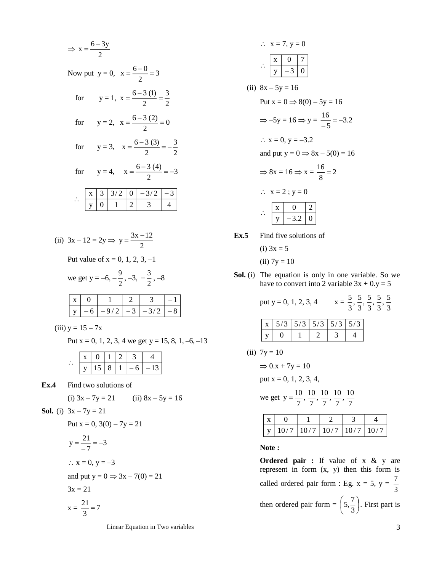2 6 3y x Now put y = 0, 3 2 6 0 x for y = 1, 2 3 2 6 3 (1) x for y = 2, 0 2 6 3 (2) x for y = 3, 2 3 2 6 3 (3) x for y = 4, 3 2 6 3 (4) x y 0 1 2 3 4 <sup>x</sup> 3 3/ 2 0 3/ 2 3

(ii) 
$$
3x - 12 = 2y \implies y = \frac{3x - 12}{2}
$$

Put value of  $x = 0, 1, 2, 3, -1$ 

we get 
$$
y = -6, -\frac{9}{2}, -3, -\frac{3}{2}, -8
$$

| -6 | $1-9/2$ $-3$ $-3/2$ $-8$ |  |  |
|----|--------------------------|--|--|

(iii)  $y = 15 - 7x$ 

Put  $x = 0, 1, 2, 3, 4$  we get  $y = 15, 8, 1, -6, -13$ 

|  | 1 X 1 | $-6$ | - 13 |
|--|-------|------|------|

**Ex.4** Find two solutions of

(i) 
$$
3x - 7y = 21
$$
 (ii)  $8x - 5y = 16$ 

**Sol.** (i) 
$$
3x - 7y = 21
$$

Put 
$$
x = 0
$$
,  $3(0) - 7y = 21$ 

$$
y = \frac{21}{-7} = -3
$$
  
∴ x = 0, y = -3  
and put y = 0 ⇒ 3x - 7(0) = 21  
3x = 21  
x =  $\frac{21}{3}$  = 7

Linear Equation in Two variables 3

$$
\therefore x = 7, y = 0
$$
  
\n
$$
\therefore \frac{x}{y} = \frac{0}{3} = 0
$$
  
\n(ii)  $8x - 5y = 16$   
\nPut  $x = 0 \Rightarrow 8(0) - 5y = 16$   
\n $\Rightarrow -5y = 16 \Rightarrow y = \frac{16}{-5} = -3.2$   
\n $\therefore x = 0, y = -3.2$   
\nand put  $y = 0 \Rightarrow 8x - 5(0) = 16$   
\n $\Rightarrow 8x = 16 \Rightarrow x = \frac{16}{8} = 2$   
\n $\therefore x = 2; y = 0$   
\n $\therefore \frac{x}{y} = \frac{0}{-3.2} = 0$   
\nEx.5 Find five solutions of

(i)  $3x = 5$ 

(ii) 
$$
7y = 10
$$

**Sol.** (i) The equation is only in one variable. So we have to convert into 2 variable  $3x + 0. y = 5$ 

> put y = 0, 1, 2, 3, 4  $x = \frac{3}{3}, \frac{5}{3}, \frac{5}{3}, \frac{5}{3}, \frac{5}{3}$  $\frac{5}{3}, \frac{5}{3}$  $\frac{5}{3}, \frac{5}{3}$  $\frac{5}{3}, \frac{5}{3}$  $\frac{5}{3}, \frac{5}{3}$ 5

|  | $\mid x \mid 5/3 \mid 5/3 \mid 5/3 \mid 5/3 \mid 5/3$ |  |
|--|-------------------------------------------------------|--|
|  |                                                       |  |

(ii) 
$$
7y = 10
$$

$$
\Rightarrow 0.x + 7y = 10
$$

put x = 0, 1, 2, 3, 4,

we get 
$$
y = \frac{10}{7}, \frac{10}{7}, \frac{10}{7}, \frac{10}{7}, \frac{10}{7}
$$

|  | $\mathbf{v}$   10/7   10/7   10/7   10/7   10/7 |  |
|--|-------------------------------------------------|--|

**Note :**

**Ordered pair :** If value of x & y are represent in form (x, y) then this form is called ordered pair form : Eg.  $x = 5$ ,  $y = \frac{7}{3}$ 7 then ordered pair form = J  $\left(5, \frac{7}{2}\right)$ l ſ 3  $(5, \frac{7}{5})$ . First part is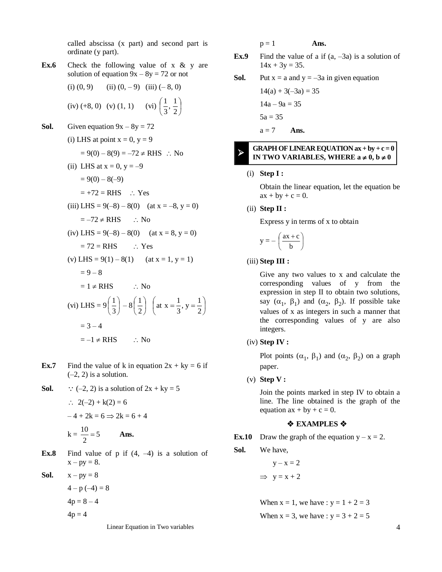called abscissa (x part) and second part is ordinate (y part).

**Ex.6** Check the following value of x & y are solution of equation  $9x - 8y = 72$  or not

(i) (0, 9) (ii) (0, -9) (iii) (-8, 0)  
(iv) (+8, 0) (v) (1, 1) (vi) 
$$
\left(\frac{1}{3}, \frac{1}{2}\right)
$$

**Sol.** Given equation  $9x - 8y = 72$ 

(i) LHS at point x = 0, y = 9  
\n= 9(0) - 8(9) = -72 
$$
\neq
$$
 RHS  $\therefore$  No  
\n(ii) LHS at x = 0, y = -9  
\n= 9(0) - 8(-9)  
\n= +72 = RHS  $\therefore$  Yes  
\n(iii) LHS = 9(-8) - 8(0) (at x = -8, y = 0)  
\n= -72  $\neq$  RHS  $\therefore$  No  
\n(iv) LHS = 9(-8) - 8(0) (at x = 8, y = 0)  
\n= 72 = RHS  $\therefore$  Yes  
\n(v) LHS = 9(1) - 8(1) (at x = 1, y = 1)  
\n= 9 - 8  
\n= 1  $\neq$  RHS  $\therefore$  No  
\n(vi) LHS = 9 $\left(\frac{1}{3}\right)$  - 8 $\left(\frac{1}{2}\right)$  (at x =  $\frac{1}{3}$ , y =  $\frac{1}{2}$ )  
\n= 3 - 4  
\n= -1  $\neq$  RHS  $\therefore$  No

- **Ex.7** Find the value of k in equation  $2x + ky = 6$  if  $(-2, 2)$  is a solution.
- **Sol.**  $\therefore$  (-2, 2) is a solution of  $2x + ky = 5$

$$
2(-2) + k(2) = 6
$$
  
-4 + 2k = 6  $\Rightarrow$  2k = 6 + 4  
k =  $\frac{10}{2}$  = 5 **Ans.**

**Ex.8** Find value of  $p$  if  $(4, -4)$  is a solution of  $x - py = 8$ .

**Sol.**  $x - py = 8$ 

$$
4 - p(-4) = 8
$$
  

$$
4p = 8 - 4
$$
  

$$
4p = 4
$$

Linear Equation in Two variables 4

 $p = 1$  **Ans.** 

**Ex.9** Find the value of a if  $(a, -3a)$  is a solution of  $14x + 3y = 35$ .

**Sol.** Put 
$$
x = a
$$
 and  $y = -3a$  in given equation

$$
14(a) + 3(-3a) = 35
$$

$$
14a - 9a = 35
$$

$$
5a = 35
$$

$$
a = 7
$$
 **Ans.**

#### **GRAPH OF LINEAR EQUATION ax + by + c = 0 IN TWO VARIABLES, WHERE**  $a \neq 0$ **,**  $b \neq 0$ ≻

#### (i) **Step I :**

Obtain the linear equation, let the equation be  $ax + by + c = 0.$ 

(ii) **Step II :** 

Express y in terms of x to obtain

$$
y = -\left(\frac{ax + c}{b}\right)
$$

## (iii) **Step III :**

Give any two values to x and calculate the corresponding values of y from the expression in step II to obtain two solutions, say  $(\alpha_1, \beta_1)$  and  $(\alpha_2, \beta_2)$ . If possible take values of x as integers in such a manner that the corresponding values of y are also integers.

(iv) **Step IV :** 

Plot points  $(\alpha_1, \beta_1)$  and  $(\alpha_2, \beta_2)$  on a graph paper.

(v) **Step V :** 

Join the points marked in step IV to obtain a line. The line obtained is the graph of the equation  $ax + by + c = 0$ .

### $\triangle$  **EXAMPLES**  $\triangle$

**Ex.10** Draw the graph of the equation  $y - x = 2$ .

**Sol.** We have,

$$
y - x = 2
$$
  
\n
$$
\Rightarrow y = x + 2
$$

When  $x = 1$ , we have :  $y = 1 + 2 = 3$ When  $x = 3$ , we have :  $y = 3 + 2 = 5$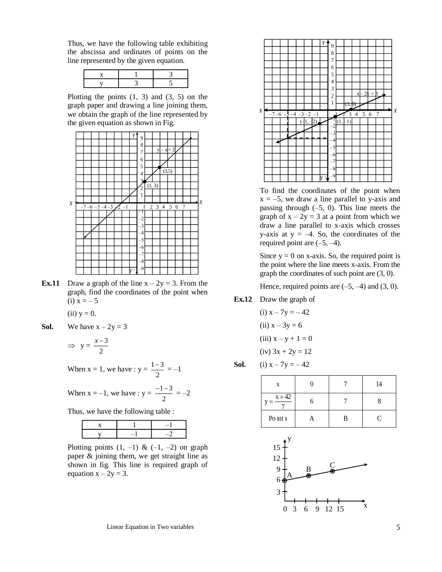Thus, we have the following table exhibiting the abscissa and ordinates of points on the line represented by the given equation.

Plotting the points  $(1, 3)$  and  $(3, 5)$  on the graph paper and drawing a line joining them, we obtain the graph of the line represented by the given equation as shown in Fig.



**Ex.11** Draw a graph of the line  $x - 2y = 3$ . From the graph, find the coordinates of the point when (i)  $x = -5$ 

 $(ii)$   $y = 0$ .

**Sol.** We have  $x - 2y = 3$ 

$$
\Rightarrow y = \frac{x-3}{2}
$$

When  $x = 1$ , we have :  $y = \frac{1}{2}$  $\frac{1-3}{2} = -1$ 

When  $x = -1$ , we have :  $y = \frac{1}{2}$  $\frac{-1-3}{2} = -2$ 

Thus, we have the following table :

Plotting points  $(1, -1)$  &  $(-1, -2)$  on graph paper & joining them, we get straight line as shown in fig. This line is required graph of equation  $x - 2y = 3$ .



To find the coordinates of the point when  $x = -5$ , we draw a line parallel to y-axis and passing through  $(-5, 0)$ . This line meets the graph of  $x - 2y = 3$  at a point from which we draw a line parallel to x-axis which crosses y-axis at  $y = -4$ . So, the coordinates of the required point are  $(-5, -4)$ .

Since  $y = 0$  on x-axis. So, the required point is the point where the line meets x-axis. From the graph the coordinates of such point are (3, 0).

Hence, required points are  $(-5, -4)$  and  $(3, 0)$ .

**Ex.12** Draw the graph of

(i)  $x - 7y = -42$ (ii)  $x - 3y = 6$ (iii)  $x - y + 1 = 0$  $(iv)$  3x + 2y = 12

**Sol.** (i) 
$$
x - 7y = -42
$$

| X        |   | 14 |
|----------|---|----|
| $x + 42$ |   |    |
| Po int s | B | P. |



Linear Equation in Two variables 5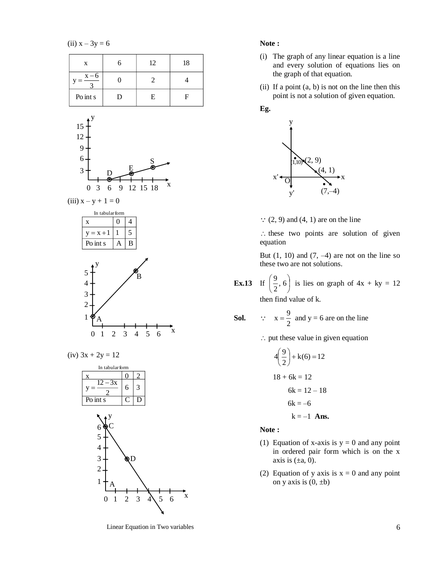(ii)  $x - 3y = 6$ 





 $(iv)$  3x + 2y = 12



Linear Equation in Two variables 6

## **Note :**

- (i) The graph of any linear equation is a line and every solution of equations lies on the graph of that equation.
- (ii) If a point  $(a, b)$  is not on the line then this point is not a solution of given equation.

# **Eg.**



 $\therefore$  (2, 9) and (4, 1) are on the line

 $\therefore$  these two points are solution of given equation

But  $(1, 10)$  and  $(7, -4)$  are not on the line so these two are not solutions.

**Ex.13** If 
$$
\left(\frac{9}{2}, 6\right)
$$
 is lies on graph of  $4x + ky = 12$   
then find value of k.

**Sol.** 
$$
\therefore
$$
  $x = \frac{9}{2}$  and  $y = 6$  are on the line

 $\therefore$  put these value in given equation

$$
4\left(\frac{9}{2}\right) + k(6) = 12
$$
  

$$
18 + 6k = 12
$$
  

$$
6k = 12 - 18
$$
  

$$
6k = -6
$$
  

$$
k = -1
$$
 Ans.

**Note :** 

- (1) Equation of x-axis is  $y = 0$  and any point in ordered pair form which is on the x axis is  $(\pm a, 0)$ .
- (2) Equation of y axis is  $x = 0$  and any point on y axis is  $(0, \pm b)$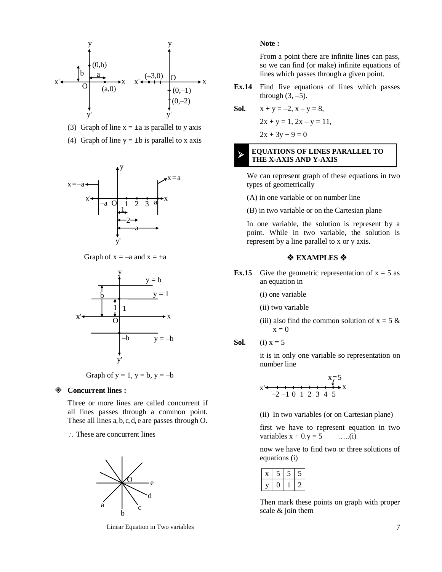

- (3) Graph of line  $x = \pm a$  is parallel to y axis
- (4) Graph of line  $y = \pm b$  is parallel to x axis



Graph of  $x = -a$  and  $x = +a$ 



Graph of  $y = 1$ ,  $y = b$ ,  $y = -b$ 

#### **Concurrent lines :**

Three or more lines are called concurrent if all lines passes through a common point. These all lines a, b, c, d, e are passes through O.

 $\therefore$  These are concurrent lines



Linear Equation in Two variables 7

#### **Note :**

From a point there are infinite lines can pass, so we can find (or make) infinite equations of lines which passes through a given point.

**Ex.14** Find five equations of lines which passes through  $(3, -5)$ .

**Sol.** 
$$
x + y = -2, x - y = 8,
$$

 $2x + y = 1$ ,  $2x - y = 11$ ,

 $2x + 3y + 9 = 0$ 

≻

## **EQUATIONS OF LINES PARALLEL TO THE X-AXIS AND Y-AXIS**

We can represent graph of these equations in two types of geometrically

- (A) in one variable or on number line
- (B) in two variable or on the Cartesian plane

In one variable, the solution is represent by a point. While in two variable, the solution is represent by a line parallel to x or y axis.

#### $\triangle$  **EXAMPLES ☆**

- **Ex.15** Give the geometric representation of  $x = 5$  as an equation in
	- (i) one variable
	- (ii) two variable
	- (iii) also find the common solution of  $x = 5$  &  $x = 0$
- **Sol.** (i)  $x = 5$

it is in only one variable so representation on number line

$$
x \xrightarrow{1} x \xrightarrow{7} x
$$
  
-2 -1 0 1 2 3 4 5

(ii) In two variables (or on Cartesian plane)

first we have to represent equation in two variables  $x + 0. y = 5$  …..(i)

now we have to find two or three solutions of equations (i)

Then mark these points on graph with proper scale & join them